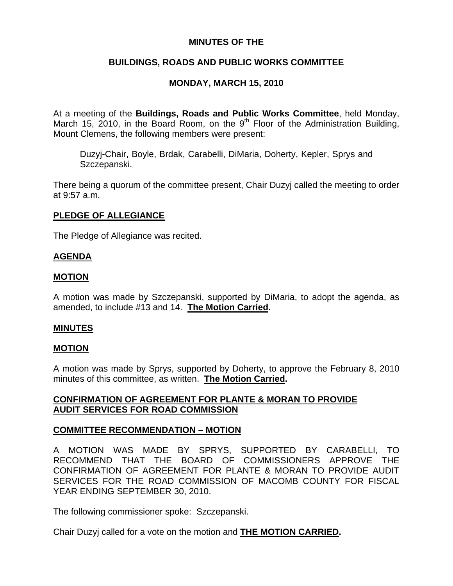## **MINUTES OF THE**

# **BUILDINGS, ROADS AND PUBLIC WORKS COMMITTEE**

# **MONDAY, MARCH 15, 2010**

At a meeting of the **Buildings, Roads and Public Works Committee**, held Monday, March 15, 2010, in the Board Room, on the  $9<sup>th</sup>$  Floor of the Administration Building, Mount Clemens, the following members were present:

Duzyj-Chair, Boyle, Brdak, Carabelli, DiMaria, Doherty, Kepler, Sprys and Szczepanski.

There being a quorum of the committee present, Chair Duzyj called the meeting to order at 9:57 a.m.

## **PLEDGE OF ALLEGIANCE**

The Pledge of Allegiance was recited.

### **AGENDA**

### **MOTION**

A motion was made by Szczepanski, supported by DiMaria, to adopt the agenda, as amended, to include #13 and 14. **The Motion Carried.** 

### **MINUTES**

### **MOTION**

A motion was made by Sprys, supported by Doherty, to approve the February 8, 2010 minutes of this committee, as written. **The Motion Carried.** 

## **CONFIRMATION OF AGREEMENT FOR PLANTE & MORAN TO PROVIDE AUDIT SERVICES FOR ROAD COMMISSION**

## **COMMITTEE RECOMMENDATION – MOTION**

A MOTION WAS MADE BY SPRYS, SUPPORTED BY CARABELLI, TO RECOMMEND THAT THE BOARD OF COMMISSIONERS APPROVE THE CONFIRMATION OF AGREEMENT FOR PLANTE & MORAN TO PROVIDE AUDIT SERVICES FOR THE ROAD COMMISSION OF MACOMB COUNTY FOR FISCAL YEAR ENDING SEPTEMBER 30, 2010.

The following commissioner spoke: Szczepanski.

Chair Duzyj called for a vote on the motion and **THE MOTION CARRIED.**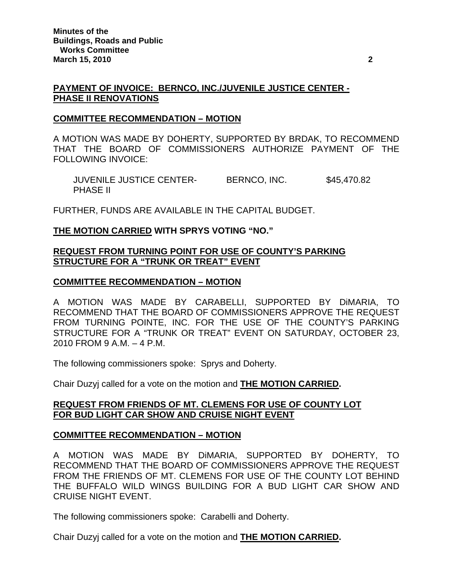### **PAYMENT OF INVOICE: BERNCO, INC./JUVENILE JUSTICE CENTER - PHASE II RENOVATIONS**

### **COMMITTEE RECOMMENDATION – MOTION**

A MOTION WAS MADE BY DOHERTY, SUPPORTED BY BRDAK, TO RECOMMEND THAT THE BOARD OF COMMISSIONERS AUTHORIZE PAYMENT OF THE FOLLOWING INVOICE:

JUVENILE JUSTICE CENTER-<br>BERNCO, INC. \$45,470.82 PHASE II

FURTHER, FUNDS ARE AVAILABLE IN THE CAPITAL BUDGET.

**THE MOTION CARRIED WITH SPRYS VOTING "NO."** 

## **REQUEST FROM TURNING POINT FOR USE OF COUNTY'S PARKING STRUCTURE FOR A "TRUNK OR TREAT" EVENT**

### **COMMITTEE RECOMMENDATION – MOTION**

A MOTION WAS MADE BY CARABELLI, SUPPORTED BY DiMARIA, TO RECOMMEND THAT THE BOARD OF COMMISSIONERS APPROVE THE REQUEST FROM TURNING POINTE, INC. FOR THE USE OF THE COUNTY'S PARKING STRUCTURE FOR A "TRUNK OR TREAT" EVENT ON SATURDAY, OCTOBER 23, 2010 FROM 9 A.M. – 4 P.M.

The following commissioners spoke: Sprys and Doherty.

Chair Duzyj called for a vote on the motion and **THE MOTION CARRIED.**

### **REQUEST FROM FRIENDS OF MT. CLEMENS FOR USE OF COUNTY LOT FOR BUD LIGHT CAR SHOW AND CRUISE NIGHT EVENT**

### **COMMITTEE RECOMMENDATION – MOTION**

A MOTION WAS MADE BY DiMARIA, SUPPORTED BY DOHERTY, TO RECOMMEND THAT THE BOARD OF COMMISSIONERS APPROVE THE REQUEST FROM THE FRIENDS OF MT. CLEMENS FOR USE OF THE COUNTY LOT BEHIND THE BUFFALO WILD WINGS BUILDING FOR A BUD LIGHT CAR SHOW AND CRUISE NIGHT EVENT.

The following commissioners spoke: Carabelli and Doherty.

Chair Duzyj called for a vote on the motion and **THE MOTION CARRIED.**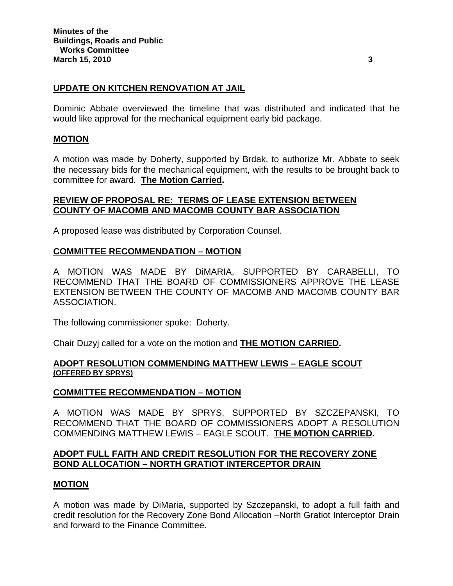### **UPDATE ON KITCHEN RENOVATION AT JAIL**

Dominic Abbate overviewed the timeline that was distributed and indicated that he would like approval for the mechanical equipment early bid package.

### **MOTION**

A motion was made by Doherty, supported by Brdak, to authorize Mr. Abbate to seek the necessary bids for the mechanical equipment, with the results to be brought back to committee for award. **The Motion Carried.** 

## **REVIEW OF PROPOSAL RE: TERMS OF LEASE EXTENSION BETWEEN COUNTY OF MACOMB AND MACOMB COUNTY BAR ASSOCIATION**

A proposed lease was distributed by Corporation Counsel.

### **COMMITTEE RECOMMENDATION – MOTION**

A MOTION WAS MADE BY DiMARIA, SUPPORTED BY CARABELLI, TO RECOMMEND THAT THE BOARD OF COMMISSIONERS APPROVE THE LEASE EXTENSION BETWEEN THE COUNTY OF MACOMB AND MACOMB COUNTY BAR ASSOCIATION.

The following commissioner spoke: Doherty.

Chair Duzyj called for a vote on the motion and **THE MOTION CARRIED.**

### **ADOPT RESOLUTION COMMENDING MATTHEW LEWIS – EAGLE SCOUT (OFFERED BY SPRYS)**

### **COMMITTEE RECOMMENDATION – MOTION**

A MOTION WAS MADE BY SPRYS, SUPPORTED BY SZCZEPANSKI, TO RECOMMEND THAT THE BOARD OF COMMISSIONERS ADOPT A RESOLUTION COMMENDING MATTHEW LEWIS – EAGLE SCOUT. **THE MOTION CARRIED.** 

### **ADOPT FULL FAITH AND CREDIT RESOLUTION FOR THE RECOVERY ZONE BOND ALLOCATION – NORTH GRATIOT INTERCEPTOR DRAIN**

### **MOTION**

A motion was made by DiMaria, supported by Szczepanski, to adopt a full faith and credit resolution for the Recovery Zone Bond Allocation –North Gratiot Interceptor Drain and forward to the Finance Committee.